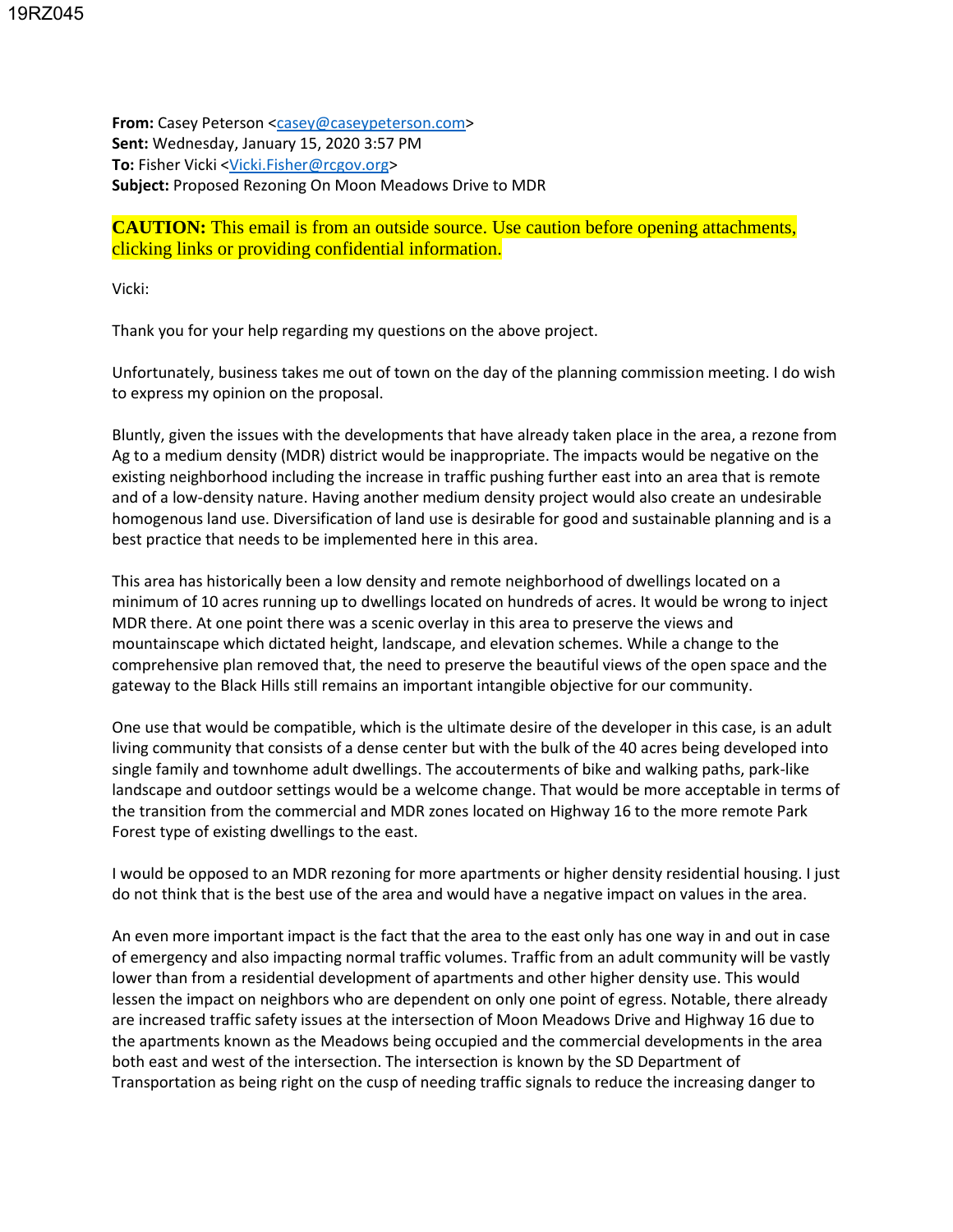**From:** Casey Peterson [<casey@caseypeterson.com>](mailto:casey@caseypeterson.com) **Sent:** Wednesday, January 15, 2020 3:57 PM **To:** Fisher Vicki [<Vicki.Fisher@rcgov.org>](mailto:Vicki.Fisher@rcgov.org) **Subject:** Proposed Rezoning On Moon Meadows Drive to MDR

**CAUTION:** This email is from an outside source. Use caution before opening attachments, clicking links or providing confidential information.

Vicki:

Thank you for your help regarding my questions on the above project.

Unfortunately, business takes me out of town on the day of the planning commission meeting. I do wish to express my opinion on the proposal.

Bluntly, given the issues with the developments that have already taken place in the area, a rezone from Ag to a medium density (MDR) district would be inappropriate. The impacts would be negative on the existing neighborhood including the increase in traffic pushing further east into an area that is remote and of a low-density nature. Having another medium density project would also create an undesirable homogenous land use. Diversification of land use is desirable for good and sustainable planning and is a best practice that needs to be implemented here in this area.

This area has historically been a low density and remote neighborhood of dwellings located on a minimum of 10 acres running up to dwellings located on hundreds of acres. It would be wrong to inject MDR there. At one point there was a scenic overlay in this area to preserve the views and mountainscape which dictated height, landscape, and elevation schemes. While a change to the comprehensive plan removed that, the need to preserve the beautiful views of the open space and the gateway to the Black Hills still remains an important intangible objective for our community.

One use that would be compatible, which is the ultimate desire of the developer in this case, is an adult living community that consists of a dense center but with the bulk of the 40 acres being developed into single family and townhome adult dwellings. The accouterments of bike and walking paths, park-like landscape and outdoor settings would be a welcome change. That would be more acceptable in terms of the transition from the commercial and MDR zones located on Highway 16 to the more remote Park Forest type of existing dwellings to the east.

I would be opposed to an MDR rezoning for more apartments or higher density residential housing. I just do not think that is the best use of the area and would have a negative impact on values in the area.

An even more important impact is the fact that the area to the east only has one way in and out in case of emergency and also impacting normal traffic volumes. Traffic from an adult community will be vastly lower than from a residential development of apartments and other higher density use. This would lessen the impact on neighbors who are dependent on only one point of egress. Notable, there already are increased traffic safety issues at the intersection of Moon Meadows Drive and Highway 16 due to the apartments known as the Meadows being occupied and the commercial developments in the area both east and west of the intersection. The intersection is known by the SD Department of Transportation as being right on the cusp of needing traffic signals to reduce the increasing danger to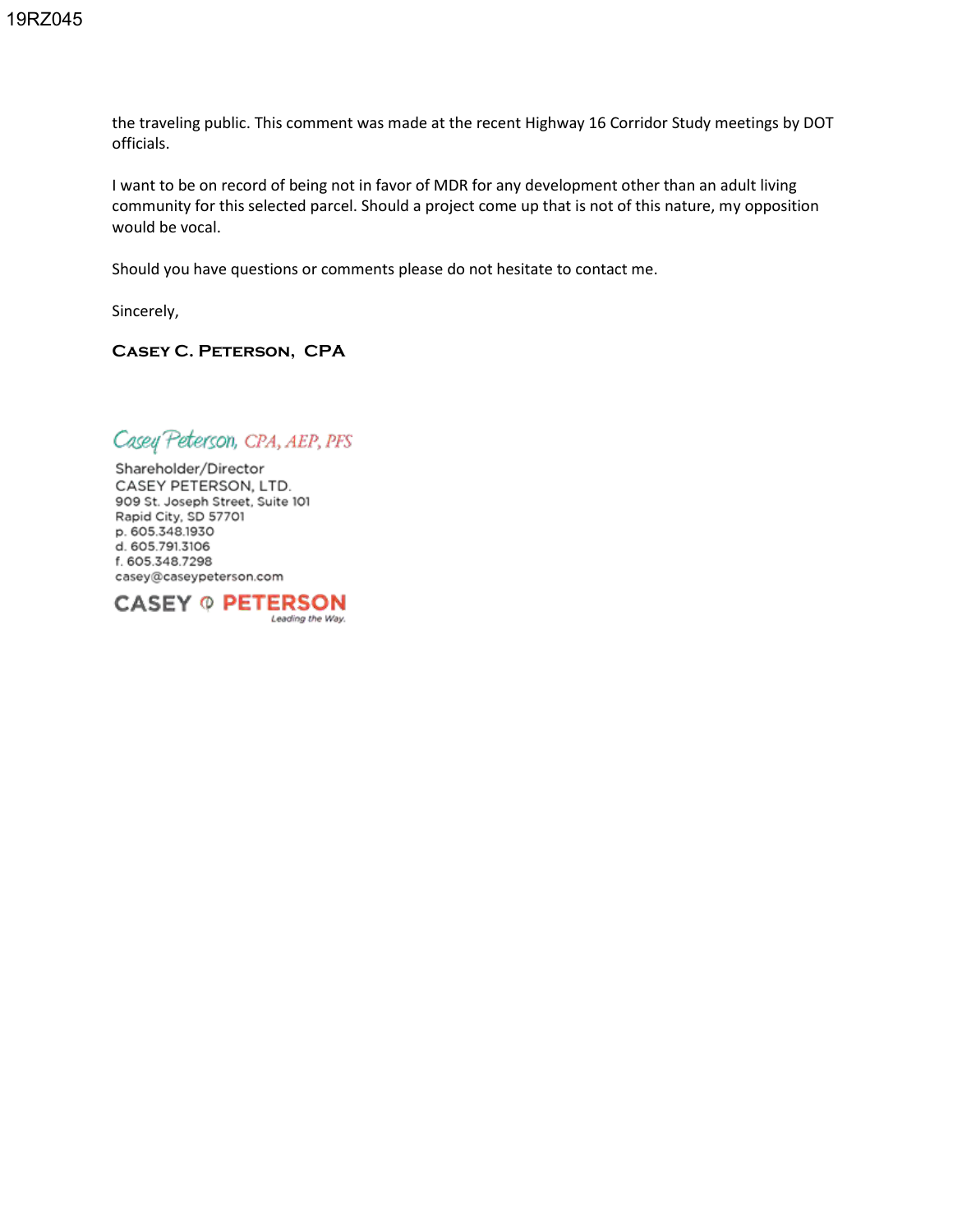the traveling public. This comment was made at the recent Highway 16 Corridor Study meetings by DOT officials.

I want to be on record of being not in favor of MDR for any development other than an adult living community for this selected parcel. Should a project come up that is not of this nature, my opposition would be vocal.

Should you have questions or comments please do not hesitate to contact me.

Sincerely,

## **Casey C. Peterson, CPA**

Casey Peterson, CPA, AEP, PFS

Shareholder/Director CASEY PETERSON, LTD. 909 St. Joseph Street, Suite 101 Rapid City, SD 57701 p. 605.348.1930 d. 605.791.3106 f. 605.348.7298 casey@caseypeterson.com

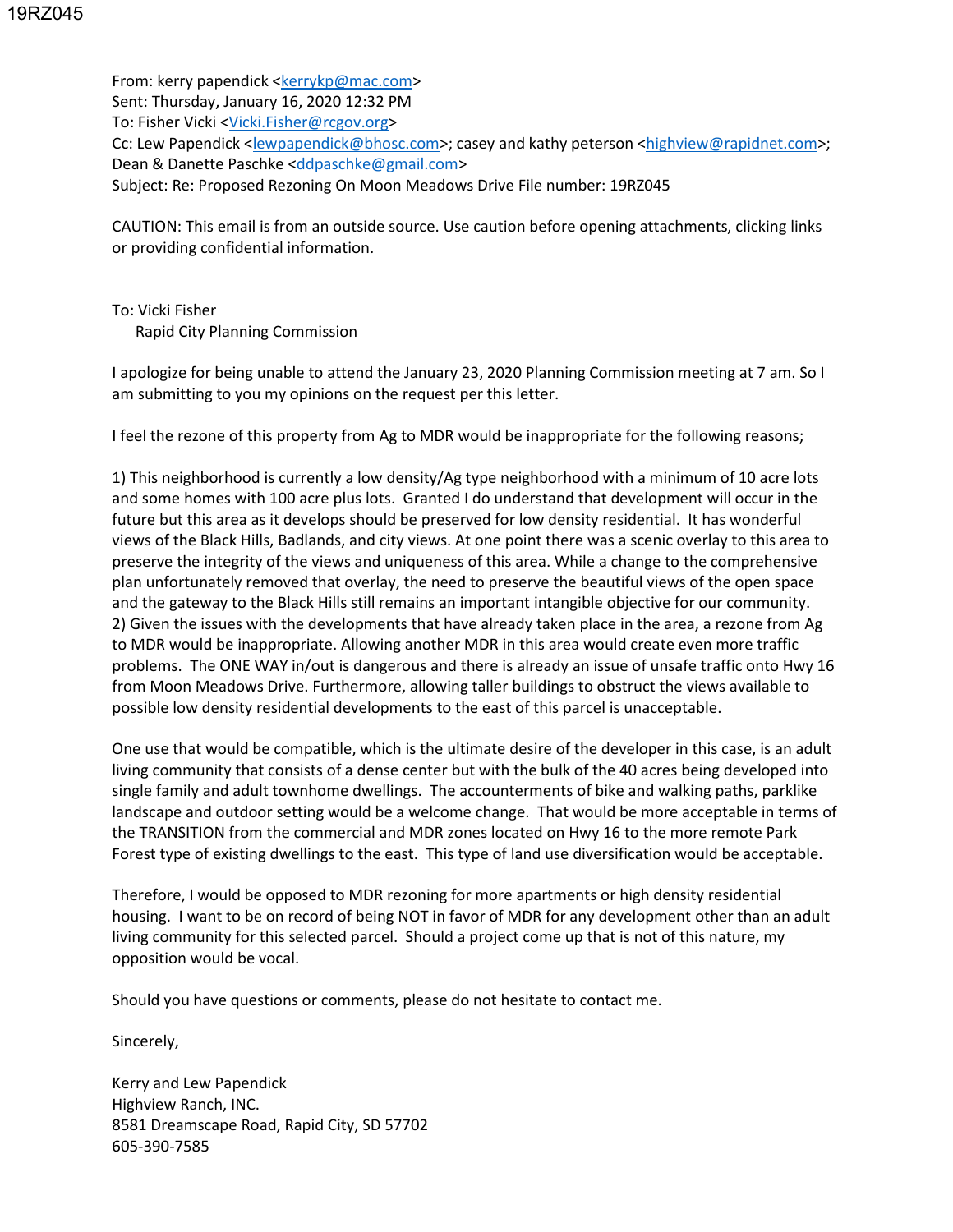From: kerry papendick [<kerrykp@mac.com>](mailto:kerrykp@mac.com) Sent: Thursday, January 16, 2020 12:32 PM To: Fisher Vicki [<Vicki.Fisher@rcgov.org>](mailto:Vicki.Fisher@rcgov.org) Cc: Lew Papendick [<lewpapendick@bhosc.com>](mailto:lewpapendick@bhosc.com); casey and kathy peterson [<highview@rapidnet.com>](mailto:highview@rapidnet.com); Dean & Danette Paschke [<ddpaschke@gmail.com>](mailto:ddpaschke@gmail.com) Subject: Re: Proposed Rezoning On Moon Meadows Drive File number: 19RZ045

CAUTION: This email is from an outside source. Use caution before opening attachments, clicking links or providing confidential information.

To: Vicki Fisher Rapid City Planning Commission

I apologize for being unable to attend the January 23, 2020 Planning Commission meeting at 7 am. So I am submitting to you my opinions on the request per this letter.

I feel the rezone of this property from Ag to MDR would be inappropriate for the following reasons;

1) This neighborhood is currently a low density/Ag type neighborhood with a minimum of 10 acre lots and some homes with 100 acre plus lots. Granted I do understand that development will occur in the future but this area as it develops should be preserved for low density residential. It has wonderful views of the Black Hills, Badlands, and city views. At one point there was a scenic overlay to this area to preserve the integrity of the views and uniqueness of this area. While a change to the comprehensive plan unfortunately removed that overlay, the need to preserve the beautiful views of the open space and the gateway to the Black Hills still remains an important intangible objective for our community. 2) Given the issues with the developments that have already taken place in the area, a rezone from Ag to MDR would be inappropriate. Allowing another MDR in this area would create even more traffic problems. The ONE WAY in/out is dangerous and there is already an issue of unsafe traffic onto Hwy 16 from Moon Meadows Drive. Furthermore, allowing taller buildings to obstruct the views available to possible low density residential developments to the east of this parcel is unacceptable.

One use that would be compatible, which is the ultimate desire of the developer in this case, is an adult living community that consists of a dense center but with the bulk of the 40 acres being developed into single family and adult townhome dwellings. The accounterments of bike and walking paths, parklike landscape and outdoor setting would be a welcome change. That would be more acceptable in terms of the TRANSITION from the commercial and MDR zones located on Hwy 16 to the more remote Park Forest type of existing dwellings to the east. This type of land use diversification would be acceptable.

Therefore, I would be opposed to MDR rezoning for more apartments or high density residential housing. I want to be on record of being NOT in favor of MDR for any development other than an adult living community for this selected parcel. Should a project come up that is not of this nature, my opposition would be vocal.

Should you have questions or comments, please do not hesitate to contact me.

Sincerely,

Kerry and Lew Papendick Highview Ranch, INC. 8581 Dreamscape Road, Rapid City, SD 57702 605-390-7585